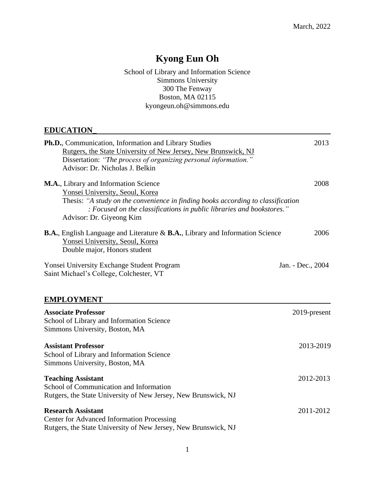# **Kyong Eun Oh**

School of Library and Information Science Simmons University 300 The Fenway Boston, MA 02115 kyongeun.oh@simmons.edu

# **EDUCATION\_**

| Ph.D., Communication, Information and Library Studies                                                                                                     | 2013              |
|-----------------------------------------------------------------------------------------------------------------------------------------------------------|-------------------|
| Rutgers, the State University of New Jersey, New Brunswick, NJ                                                                                            |                   |
| Dissertation: "The process of organizing personal information."                                                                                           |                   |
| Advisor: Dr. Nicholas J. Belkin                                                                                                                           |                   |
| M.A., Library and Information Science                                                                                                                     | 2008              |
| Yonsei University, Seoul, Korea                                                                                                                           |                   |
| Thesis: "A study on the convenience in finding books according to classification<br>: Focused on the classifications in public libraries and bookstores." |                   |
| Advisor: Dr. Giyeong Kim                                                                                                                                  |                   |
| <b>B.A.</b> , English Language and Literature & <b>B.A.</b> , Library and Information Science                                                             | 2006              |
| Yonsei University, Seoul, Korea                                                                                                                           |                   |
| Double major, Honors student                                                                                                                              |                   |
| <b>Yonsei University Exchange Student Program</b>                                                                                                         | Jan. - Dec., 2004 |
| Saint Michael's College, Colchester, VT                                                                                                                   |                   |
|                                                                                                                                                           |                   |
| <b>EMPLOYMENT</b>                                                                                                                                         |                   |
| <b>Associate Professor</b>                                                                                                                                | 2019-present      |
| School of Library and Information Science                                                                                                                 |                   |
| Simmons University, Boston, MA                                                                                                                            |                   |

# **Assistant Professor** 2013-2019 School of Library and Information Science

Simmons University, Boston, MA **Teaching Assistant** 2012-2013 School of Communication and Information Rutgers, the State University of New Jersey, New Brunswick, NJ **Research Assistant** 2011-2012 Center for Advanced Information Processing

Rutgers, the State University of New Jersey, New Brunswick, NJ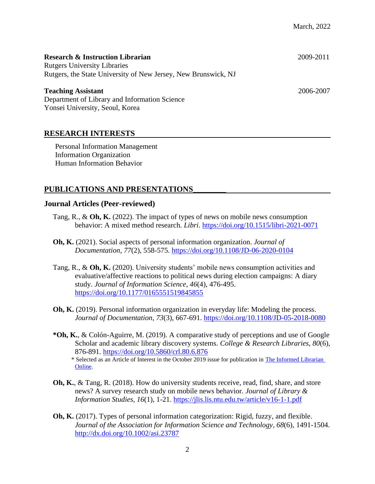| <b>Research &amp; Instruction Librarian</b><br><b>Rutgers University Libraries</b> | 2009-2011 |
|------------------------------------------------------------------------------------|-----------|
|                                                                                    |           |
| Rutgers, the State University of New Jersey, New Brunswick, NJ                     |           |
| <b>Teaching Assistant</b>                                                          | 2006-2007 |

Department of Library and Information Science Yonsei University, Seoul, Korea

# **RESEARCH INTERESTS**

Personal Information Management Information Organization Human Information Behavior

# **PUBLICATIONS AND PRESENTATIONS\_\_\_\_\_\_\_\_\_**

#### **Journal Articles (Peer-reviewed)**

- Tang, R., & **Oh, K.** (2022). The impact of types of news on mobile news consumption behavior: A mixed method research. *Libri*. <https://doi.org/10.1515/libri-2021-0071>
- **Oh, K.** (2021). Social aspects of personal information organization. *Journal of Documentation*, *77*(2), 558-575. <https://doi.org/10.1108/JD-06-2020-0104>
- Tang, R., & **Oh, K.** (2020). University students' mobile news consumption activities and evaluative/affective reactions to political news during election campaigns: A diary study. *Journal of Information Science, 46*(4), 476-495. <https://doi.org/10.1177/0165551519845855>
- **Oh, K.** (2019). Personal information organization in everyday life: Modeling the process. *Journal of Documentation, 73*(3), 667-691. <https://doi.org/10.1108/JD-05-2018-0080>
- **\*Oh, K.**, & Colón-Aguirre, M. (2019). A comparative study of perceptions and use of Google Scholar and academic library discovery systems. *College & Research Libraries, 80*(6), 876-891*.* <https://doi.org/10.5860/crl.80.6.876>
	- \* Selected as an Article of Interest in the October 2019 issue for publication in [The Informed Librarian](https://www.informedlibrarian.com/)  [Online.](https://www.informedlibrarian.com/)
- **Oh, K.**, & Tang, R. (2018). How do university students receive, read, find, share, and store news? A survey research study on mobile news behavior*. Journal of Library & Information Studies, 16*(1), 1-21. <https://jlis.lis.ntu.edu.tw/article/v16-1-1.pdf>
- **Oh, K.** (2017). Types of personal information categorization: Rigid, fuzzy, and flexible. *Journal of the Association for Information Science and Technology, 68*(6), 1491-1504. <http://dx.doi.org/10.1002/asi.23787>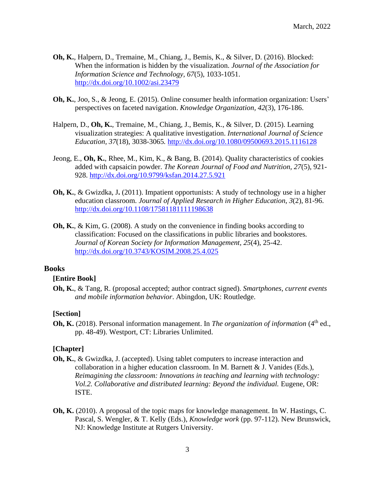- **Oh, K.**, Halpern, D., Tremaine, M., Chiang, J., Bemis, K., & Silver, D. (2016). Blocked: When the information is hidden by the visualization. *Journal of the Association for Information Science and Technology, 67*(5), 1033-1051. <http://dx.doi.org/10.1002/asi.23479>
- **Oh, K.**, Joo, S., & Jeong, E. (2015). Online consumer health information organization: Users' perspectives on faceted navigation. *Knowledge Organization, 42*(3), 176-186.
- Halpern, D., **Oh, K.**, Tremaine, M., Chiang, J., Bemis, K., & Silver, D. (2015). Learning visualization strategies: A qualitative investigation. *International Journal of Science Education, 37*(18), 3038-3065*.* <http://dx.doi.org/10.1080/09500693.2015.1116128>
- Jeong, E., **Oh, K.**, Rhee, M., Kim, K., & Bang, B. (2014). Quality characteristics of cookies added with capsaicin powder. *The Korean Journal of Food and Nutrition, 27*(5), 921- 928. <http://dx.doi.org/10.9799/ksfan.2014.27.5.921>
- **Oh, K.**, & Gwizdka, J**.** (2011). Impatient opportunists: A study of technology use in a higher education classroom. *Journal of Applied Research in Higher Education*, *3*(2), 81-96. <http://dx.doi.org/10.1108/17581181111198638>
- **Oh, K.**, & Kim, G. (2008). A study on the convenience in finding books according to classification: Focused on the classifications in public libraries and bookstores*. Journal of Korean Society for Information Management, 25*(4), 25-42. <http://dx.doi.org/10.3743/KOSIM.2008.25.4.025>

#### **Books**

#### **[Entire Book]**

**Oh, K.**, & Tang, R. (proposal accepted; author contract signed). *Smartphones, current events and mobile information behavior*. Abingdon, UK: Routledge.

#### **[Section]**

**Oh, K.** (2018). Personal information management. In *The organization of information* (4<sup>th</sup> ed., pp. 48-49). Westport, CT: Libraries Unlimited.

#### **[Chapter]**

- **Oh, K.**, & Gwizdka, J. (accepted). Using tablet computers to increase interaction and collaboration in a higher education classroom. In M. Barnett & J. Vanides (Eds.), *Reimagining the classroom: Innovations in teaching and learning with technology: Vol.2. Collaborative and distributed learning: Beyond the individual.* Eugene, OR: ISTE.
- **Oh, K.** (2010). A proposal of the topic maps for knowledge management. In W. Hastings, C. Pascal, S. Wengler, & T. Kelly (Eds.), *Knowledge work* (pp. 97-112). New Brunswick, NJ: Knowledge Institute at Rutgers University.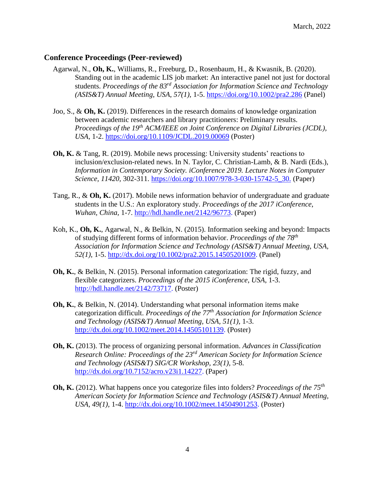# **Conference Proceedings (Peer-reviewed)**

- Agarwal, N., **Oh, K.**, Williams, R., Freeburg, D., Rosenbaum, H., & Kwasnik, B. (2020). Standing out in the academic LIS job market: An interactive panel not just for doctoral students. *Proceedings of the 83rd Association for Information Science and Technology (ASIS&T) Annual Meeting, USA, 57(1),* 1-5. <https://doi.org/10.1002/pra2.286> (Panel)
- Joo, S., & **Oh, K.** (2019). Differences in the research domains of knowledge organization between academic researchers and library practitioners: Preliminary results. *Proceedings of the 19th ACM/IEEE on Joint Conference on Digital Libraries (JCDL), USA,* 1-2. <https://doi.org/10.1109/JCDL.2019.00069> (Poster)
- **Oh, K.** & Tang, R. (2019). Mobile news processing: University students' reactions to inclusion/exclusion-related news. In N. Taylor, C. Christian-Lamb, & B. Nardi (Eds.), *Information in Contemporary Society. iConference 2019. Lecture Notes in Computer Science, 11420,* 302-311. [https://doi.org/10.1007/978-3-030-15742-5\\_30.](https://doi.org/10.1007/978-3-030-15742-5_30) (Paper)
- Tang, R., & **Oh, K.** (2017). Mobile news information behavior of undergraduate and graduate students in the U.S.: An exploratory study. *Proceedings of the 2017 iConference*, *Wuhan, China,* 1-7. [http://hdl.handle.net/2142/96773.](http://hdl.handle.net/2142/96773) (Paper)
- Koh, K., **Oh, K.**, Agarwal, N., & Belkin, N. (2015). Information seeking and beyond: Impacts of studying different forms of information behavior. *Proceedings of the 78 th Association for Information Science and Technology (ASIS&T) Annual Meeting, USA, 52(1),* 1-5. [http://dx.doi.org/10.1002/pra2.2015.14505201009.](http://dx.doi.org/10.1002/pra2.2015.14505201009) (Panel)
- **Oh, K.**, & Belkin, N. (2015). Personal information categorization: The rigid, fuzzy, and flexible categorizers. *Proceedings of the 2015 iConference*, *USA*, 1-3. [http://hdl.handle.net/2142/73717.](http://hdl.handle.net/2142/73717) (Poster)
- **Oh, K.**, & Belkin, N. (2014). Understanding what personal information items make categorization difficult. *Proceedings of the 77 th Association for Information Science and Technology (ASIS&T) Annual Meeting, USA, 51(1),* 1-3. [http://dx.doi.org/10.1002/meet.2014.14505101139.](http://dx.doi.org/10.1002/meet.2014.14505101139) (Poster)
- **Oh, K.** (2013). The process of organizing personal information. *Advances in Classification Research Online: Proceedings of the 23rd American Society for Information Science and Technology (ASIS&T) SIG/CR Workshop, 23(1),* 5-8. [http://dx.doi.org/10.7152/acro.v23i1.14227.](http://dx.doi.org/10.7152/acro.v23i1.14227) (Paper)
- **Oh, K.** (2012). What happens once you categorize files into folders? *Proceedings of the 75th American Society for Information Science and Technology (ASIS&T) Annual Meeting, USA, 49(1),* 1-4. [http://dx.doi.org/10.1002/meet.14504901253.](http://dx.doi.org/10.1002/meet.14504901253) (Poster)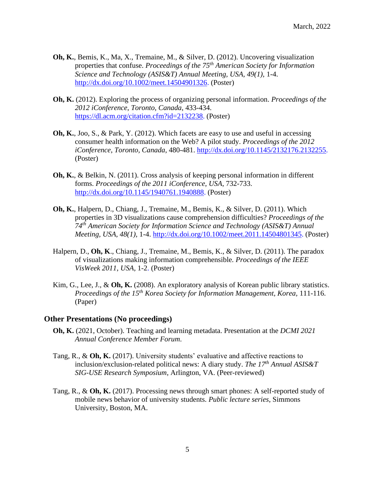- **Oh, K.**, Bemis, K., Ma, X., Tremaine, M., & Silver, D. (2012). Uncovering visualization properties that confuse. *Proceedings of the 75 th American Society for Information Science and Technology (ASIS&T) Annual Meeting, USA, 49(1),* 1-4. [http://dx.doi.org/10.1002/meet.14504901326.](http://dx.doi.org/10.1002/meet.14504901326) (Poster)
- **Oh, K.** (2012). Exploring the process of organizing personal information. *Proceedings of the 2012 iConference*, *Toronto, Canada*, 433-434. [https://dl.acm.org/citation.cfm?id=2132238.](https://dl.acm.org/citation.cfm?id=2132238) (Poster)
- **Oh, K.**, Joo, S., & Park, Y. (2012). Which facets are easy to use and useful in accessing consumer health information on the Web? A pilot study. *Proceedings of the 2012 iConference*, *Toronto, Canada*, 480-481. [http://dx.doi.org/10.1145/2132176.2132255.](http://dx.doi.org/10.1145/2132176.2132255) (Poster)
- **Oh, K.**, & Belkin, N. (2011). Cross analysis of keeping personal information in different forms. *Proceedings of the 2011 iConference*, *USA*, 732-733. [http://dx.doi.org/10.1145/1940761.1940888.](http://dx.doi.org/10.1145/1940761.1940888) (Poster)
- **Oh, K.**, Halpern, D., Chiang, J., Tremaine, M., Bemis, K., & Silver, D. (2011). Which properties in 3D visualizations cause comprehension difficulties? *Proceedings of the 74th American Society for Information Science and Technology (ASIS&T) Annual Meeting, USA, 48(1),* 1-4. [http://dx.doi.org/10.1002/meet.2011.14504801345.](http://dx.doi.org/10.1002/meet.2011.14504801345) (Poster)
- Halpern, D., **Oh, K**., Chiang, J., Tremaine, M., Bemis, K., & Silver, D. (2011). The paradox of visualizations making information comprehensible*. Proceedings of the IEEE VisWeek 2011*, *USA,* 1-2. (Poster)
- Kim, G., Lee, J., & **Oh, K.** (2008). An exploratory analysis of Korean public library statistics. *Proceedings of the 15th Korea Society for Information Management, Korea,* 111-116. (Paper)

#### **Other Presentations (No proceedings)**

- **Oh, K.** (2021, October). Teaching and learning metadata. Presentation at the *DCMI 2021 Annual Conference Member Forum*.
- Tang, R., & **Oh, K.** (2017). University students' evaluative and affective reactions to inclusion/exclusion-related political news: A diary study. *The 17th Annual ASIS&T SIG-USE Research Symposium*, Arlington, VA. (Peer-reviewed)
- Tang, R., & **Oh, K.** (2017). Processing news through smart phones: A self-reported study of mobile news behavior of university students. *Public lecture series*, Simmons University, Boston, MA.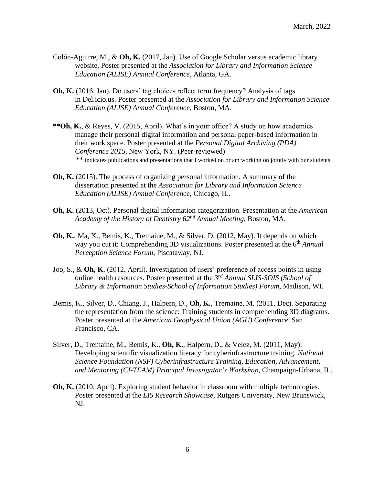- Colón-Aguirre, M., & **Oh, K.** (2017, Jan). Use of Google Scholar versus academic library website. Poster presented at the *Association for Library and Information Science Education (ALISE) Annual Conference*, Atlanta, GA.
- **Oh, K.** (2016, Jan). Do users' tag choices reflect term frequency? Analysis of tags in Del.icio.us. Poster presented at the *Association for Library and Information Science Education (ALISE) Annual Conference*, Boston, MA.
- **\*\*Oh, K.**, & Reyes, V. (2015, April). What's in your office? A study on how academics manage their personal digital information and personal paper-based information in their work space. Poster presented at the *Personal Digital Archiving (PDA) Conference 2015*, New York, NY. (Peer-reviewed) \*\* indicates publications and presentations that I worked on or am working on jointly with our students.
- **Oh, K.** (2015). The process of organizing personal information. A summary of the dissertation presented at the *Association for Library and Information Science Education (ALISE) Annual Conference*, Chicago, IL.
- **Oh, K.** (2013, Oct). Personal digital information categorization. Presentation at the *American Academy of the History of Dentistry 62nd Annual Meeting,* Boston, MA.
- **Oh, K.**, Ma, X., Bemis, K., Tremaine, M., & Silver, D. (2012, May). It depends on which way you cut it: Comprehending 3D visualizations. Poster presented at the 6<sup>th</sup> *Annual Perception Science Forum,* Piscataway, NJ.
- Joo, S., & **Oh, K.** (2012, April). Investigation of users' preference of access points in using online health resources. Poster presented at the *3 rd Annual SLIS-SOIS (School of Library & Information Studies-School of Information Studies) Forum,* Madison, WI.
- Bemis, K., Silver, D., Chiang, J., Halpern, D., **Oh, K.**, Tremaine, M. (2011, Dec). Separating the representation from the science: Training students in comprehending 3D diagrams. Poster presented at the *American Geophysical Union (AGU) Conference,* San Francisco, CA.
- Silver, D., Tremaine, M., Bemis, K., **Oh, K.**, Halpern, D., & Velez, M. (2011, May). Developing scientific visualization literacy for cyberinfrastructure training. *National Science Foundation (NSF) Cyberinfrastructure Training, Education, Advancement, and Mentoring (CI-TEAM) Principal Investigator's Workshop*, Champaign-Urbana, IL.
- **Oh, K.** (2010, April). Exploring student behavior in classroom with multiple technologies. Poster presented at the *LIS Research Showcase*, Rutgers University, New Brunswick, NJ.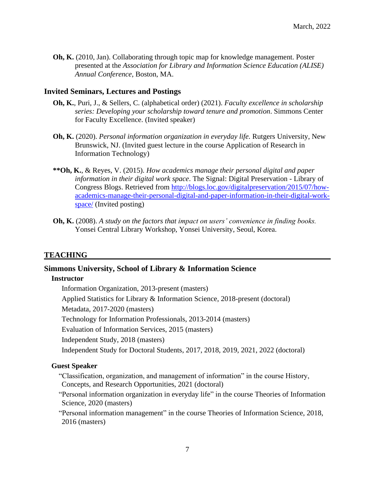**Oh, K.** (2010, Jan). Collaborating through topic map for knowledge management. Poster presented at the *Association for Library and Information Science Education (ALISE) Annual Conference*, Boston, MA.

# **Invited Seminars, Lectures and Postings**

- **Oh, K.**, Puri, J., & Sellers, C. (alphabetical order) (2021). *Faculty excellence in scholarship series: Developing your scholarship toward tenure and promotion*. Simmons Center for Faculty Excellence. (Invited speaker)
- **Oh, K.** (2020). *Personal information organization in everyday life.* Rutgers University, New Brunswick, NJ. (Invited guest lecture in the course Application of Research in Information Technology)
- **\*\*Oh, K.**, & Reyes, V. (2015). *How academics manage their personal digital and paper information in their digital work space*. The Signal: Digital Preservation - Library of Congress Blogs. Retrieved from [http://blogs.loc.gov/digitalpreservation/2015/07/how](http://blogs.loc.gov/digitalpreservation/2015/07/how-academics-manage-their-personal-digital-and-paper-information-in-their-digital-work-space/)[academics-manage-their-personal-digital-and-paper-information-in-their-digital-work](http://blogs.loc.gov/digitalpreservation/2015/07/how-academics-manage-their-personal-digital-and-paper-information-in-their-digital-work-space/)[space/](http://blogs.loc.gov/digitalpreservation/2015/07/how-academics-manage-their-personal-digital-and-paper-information-in-their-digital-work-space/) (Invited posting)
- **Oh, K.** (2008). *A study on the factors that impact on users' convenience in finding books.* Yonsei Central Library Workshop, Yonsei University, Seoul, Korea.

# **TEACHING**

# **Simmons University, School of Library & Information Science**

#### **Instructor**

Information Organization, 2013-present (masters) Applied Statistics for Library & Information Science, 2018-present (doctoral) Metadata, 2017-2020 (masters) Technology for Information Professionals, 2013-2014 (masters) Evaluation of Information Services, 2015 (masters) Independent Study, 2018 (masters) Independent Study for Doctoral Students, 2017, 2018, 2019, 2021, 2022 (doctoral)

# **Guest Speaker**

 "Classification, organization, and management of information" in the course History, Concepts, and Research Opportunities, 2021 (doctoral)

 "Personal information organization in everyday life" in the course Theories of Information Science, 2020 (masters)

"Personal information management" in the course Theories of Information Science, 2018, 2016 (masters)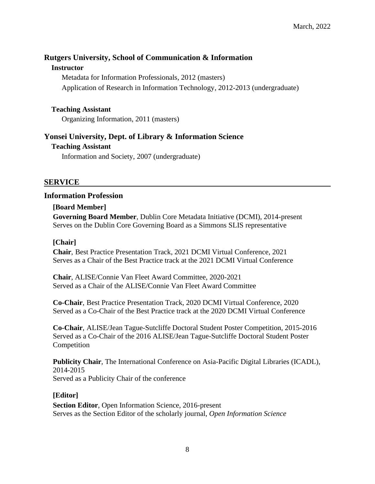# **Rutgers University, School of Communication & Information**

# **Instructor**

Metadata for Information Professionals, 2012 (masters) Application of Research in Information Technology, 2012-2013 (undergraduate)

# **Teaching Assistant**

Organizing Information, 2011 (masters)

# **Yonsei University, Dept. of Library & Information Science**

# **Teaching Assistant**

Information and Society, 2007 (undergraduate)

# **SERVICE**

# **Information Profession**

# **[Board Member]**

**Governing Board Member**, Dublin Core Metadata Initiative (DCMI), 2014-present Serves on the Dublin Core Governing Board as a Simmons SLIS representative

# **[Chair]**

**Chair**, Best Practice Presentation Track, 2021 DCMI Virtual Conference, 2021 Serves as a Chair of the Best Practice track at the 2021 DCMI Virtual Conference

**Chair**, ALISE/Connie Van Fleet Award Committee, 2020-2021 Served as a Chair of the ALISE/Connie Van Fleet Award Committee

**Co-Chair**, Best Practice Presentation Track, 2020 DCMI Virtual Conference, 2020 Served as a Co-Chair of the Best Practice track at the 2020 DCMI Virtual Conference

**Co-Chair**, ALISE/Jean Tague-Sutcliffe Doctoral Student Poster Competition, 2015-2016 Served as a Co-Chair of the 2016 ALISE/Jean Tague-Sutcliffe Doctoral Student Poster Competition

**Publicity Chair**, The International Conference on Asia-Pacific Digital Libraries (ICADL), 2014-2015 Served as a Publicity Chair of the conference

# **[Editor]**

**Section Editor**, Open Information Science, 2016-present Serves as the Section Editor of the scholarly journal, *Open Information Science*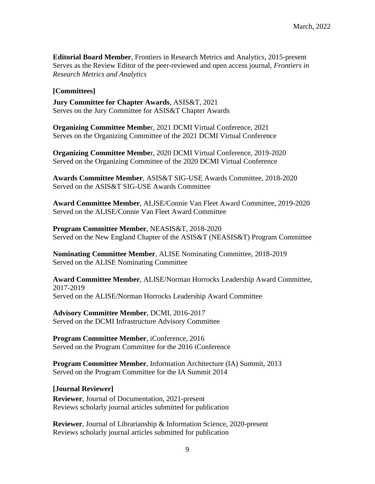**Editorial Board Member**, Frontiers in Research Metrics and Analytics, 2015-present Serves as the Review Editor of the peer-reviewed and open access journal, *Frontiers in Research Metrics and Analytics*

#### **[Committees]**

**Jury Committee for Chapter Awards**, ASIS&T, 2021 Serves on the Jury Committee for ASIS&T Chapter Awards

**Organizing Committee Membe**r, 2021 DCMI Virtual Conference, 2021 Serves on the Organizing Committee of the 2021 DCMI Virtual Conference

**Organizing Committee Membe**r, 2020 DCMI Virtual Conference, 2019-2020 Served on the Organizing Committee of the 2020 DCMI Virtual Conference

**Awards Committee Member**, ASIS&T SIG-USE Awards Committee, 2018-2020 Served on the ASIS&T SIG-USE Awards Committee

**Award Committee Member**, ALISE/Connie Van Fleet Award Committee, 2019-2020 Served on the ALISE/Connie Van Fleet Award Committee

**Program Committee Member**, NEASIS&T, 2018-2020 Served on the New England Chapter of the ASIS&T (NEASIS&T) Program Committee

**Nominating Committee Member**, ALISE Nominating Committee, 2018-2019 Served on the ALISE Nominating Committee

**Award Committee Member**, ALISE/Norman Horrocks Leadership Award Committee, 2017-2019 Served on the ALISE/Norman Horrocks Leadership Award Committee

**Advisory Committee Member**, DCMI, 2016-2017 Served on the DCMI Infrastructure Advisory Committee

**Program Committee Member**, iConference, 2016 Served on the Program Committee for the 2016 iConference

**Program Committee Member**, Information Architecture (IA) Summit, 2013 Served on the Program Committee for the IA Summit 2014

#### **[Journal Reviewer]**

**Reviewer**, Journal of Documentation, 2021-present Reviews scholarly journal articles submitted for publication

**Reviewer**, Journal of Librarianship & Information Science, 2020-present Reviews scholarly journal articles submitted for publication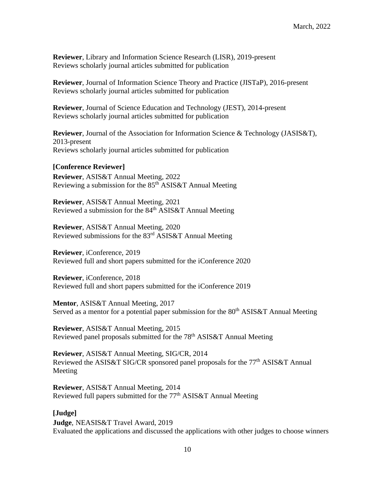**Reviewer**, Library and Information Science Research (LISR), 2019-present Reviews scholarly journal articles submitted for publication

**Reviewer**, Journal of Information Science Theory and Practice (JISTaP), 2016-present Reviews scholarly journal articles submitted for publication

**Reviewer**, Journal of Science Education and Technology (JEST), 2014-present Reviews scholarly journal articles submitted for publication

**Reviewer**, Journal of the Association for Information Science & Technology (JASIS&T), 2013-present Reviews scholarly journal articles submitted for publication

#### **[Conference Reviewer]**

**Reviewer**, ASIS&T Annual Meeting, 2022 Reviewing a submission for the  $85<sup>th</sup>$  ASIS&T Annual Meeting

**Reviewer**, ASIS&T Annual Meeting, 2021 Reviewed a submission for the 84<sup>th</sup> ASIS&T Annual Meeting

**Reviewer**, ASIS&T Annual Meeting, 2020 Reviewed submissions for the 83rd ASIS&T Annual Meeting

**Reviewer**, iConference, 2019 Reviewed full and short papers submitted for the iConference 2020

**Reviewer**, iConference, 2018 Reviewed full and short papers submitted for the iConference 2019

**Mentor**, ASIS&T Annual Meeting, 2017 Served as a mentor for a potential paper submission for the  $80<sup>th</sup>$  ASIS&T Annual Meeting

**Reviewer**, ASIS&T Annual Meeting, 2015 Reviewed panel proposals submitted for the 78<sup>th</sup> ASIS&T Annual Meeting

**Reviewer**, ASIS&T Annual Meeting, SIG/CR, 2014 Reviewed the ASIS&T SIG/CR sponsored panel proposals for the 77<sup>th</sup> ASIS&T Annual Meeting

**Reviewer**, ASIS&T Annual Meeting, 2014 Reviewed full papers submitted for the  $77<sup>th</sup>$  ASIS&T Annual Meeting

#### **[Judge]**

**Judge**, NEASIS&T Travel Award, 2019 Evaluated the applications and discussed the applications with other judges to choose winners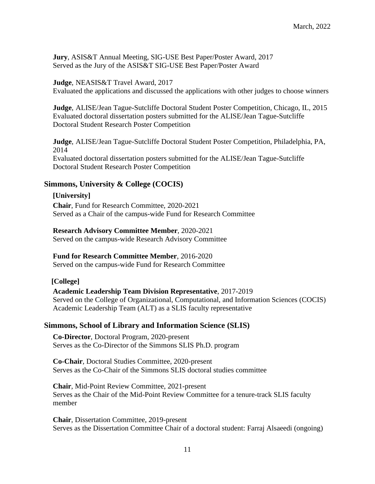**Jury**, ASIS&T Annual Meeting, SIG-USE Best Paper/Poster Award, 2017 Served as the Jury of the ASIS&T SIG-USE Best Paper/Poster Award

# **Judge**, NEASIS&T Travel Award, 2017

Evaluated the applications and discussed the applications with other judges to choose winners

**Judge**, ALISE/Jean Tague-Sutcliffe Doctoral Student Poster Competition, Chicago, IL, 2015 Evaluated doctoral dissertation posters submitted for the ALISE/Jean Tague-Sutcliffe Doctoral Student Research Poster Competition

**Judge**, ALISE/Jean Tague-Sutcliffe Doctoral Student Poster Competition, Philadelphia, PA, 2014 Evaluated doctoral dissertation posters submitted for the ALISE/Jean Tague-Sutcliffe Doctoral Student Research Poster Competition

# **Simmons, University & College (COCIS)**

#### **[University]**

**Chair**, Fund for Research Committee, 2020-2021 Served as a Chair of the campus-wide Fund for Research Committee

#### **Research Advisory Committee Member**, 2020-2021

Served on the campus-wide Research Advisory Committee

#### **Fund for Research Committee Member**, 2016-2020

Served on the campus-wide Fund for Research Committee

#### **[College]**

#### **Academic Leadership Team Division Representative**, 2017-2019

Served on the College of Organizational, Computational, and Information Sciences (COCIS) Academic Leadership Team (ALT) as a SLIS faculty representative

#### **Simmons, School of Library and Information Science (SLIS)**

**Co-Director**, Doctoral Program, 2020-present Serves as the Co-Director of the Simmons SLIS Ph.D. program

**Co-Chair**, Doctoral Studies Committee, 2020-present Serves as the Co-Chair of the Simmons SLIS doctoral studies committee

**Chair**, Mid-Point Review Committee, 2021-present Serves as the Chair of the Mid-Point Review Committee for a tenure-track SLIS faculty member

**Chair**, Dissertation Committee, 2019-present Serves as the Dissertation Committee Chair of a doctoral student: Farraj Alsaeedi (ongoing)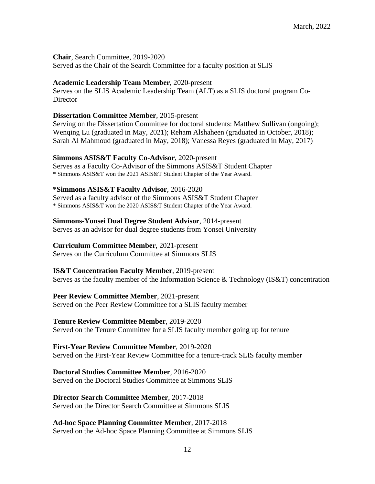**Chair**, Search Committee, 2019-2020 Served as the Chair of the Search Committee for a faculty position at SLIS

#### **Academic Leadership Team Member**, 2020-present

Serves on the SLIS Academic Leadership Team (ALT) as a SLIS doctoral program Co-**Director** 

#### **Dissertation Committee Member**, 2015-present

Serving on the Dissertation Committee for doctoral students: Matthew Sullivan (ongoing); Wenqing Lu (graduated in May, 2021); Reham Alshaheen (graduated in October, 2018); Sarah Al Mahmoud (graduated in May, 2018); Vanessa Reyes (graduated in May, 2017)

#### **Simmons ASIS&T Faculty Co-Advisor**, 2020-present

Serves as a Faculty Co-Advisor of the Simmons ASIS&T Student Chapter \* Simmons ASIS&T won the 2021 ASIS&T Student Chapter of the Year Award.

#### **\*Simmons ASIS&T Faculty Advisor**, 2016-2020

Served as a faculty advisor of the Simmons ASIS&T Student Chapter \* Simmons ASIS&T won the 2020 ASIS&T Student Chapter of the Year Award.

#### **Simmons-Yonsei Dual Degree Student Advisor**, 2014-present

Serves as an advisor for dual degree students from Yonsei University

#### **Curriculum Committee Member**, 2021-present

Serves on the Curriculum Committee at Simmons SLIS

#### **IS&T Concentration Faculty Member**, 2019-present

Serves as the faculty member of the Information Science & Technology (IS&T) concentration

# **Peer Review Committee Member**, 2021-present

Served on the Peer Review Committee for a SLIS faculty member

#### **Tenure Review Committee Member**, 2019-2020

Served on the Tenure Committee for a SLIS faculty member going up for tenure

#### **First-Year Review Committee Member**, 2019-2020

Served on the First-Year Review Committee for a tenure-track SLIS faculty member

# **Doctoral Studies Committee Member**, 2016-2020

Served on the Doctoral Studies Committee at Simmons SLIS

#### **Director Search Committee Member**, 2017-2018

Served on the Director Search Committee at Simmons SLIS

#### **Ad-hoc Space Planning Committee Member**, 2017-2018 Served on the Ad-hoc Space Planning Committee at Simmons SLIS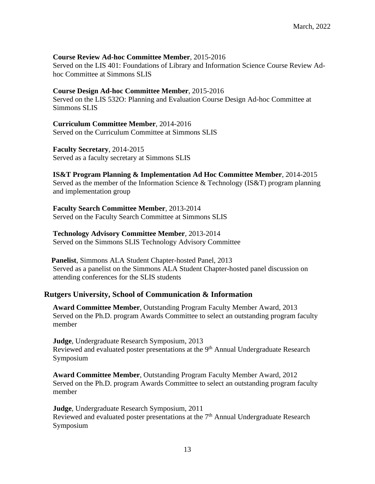# **Course Review Ad-hoc Committee Member**, 2015-2016

Served on the LIS 401: Foundations of Library and Information Science Course Review Adhoc Committee at Simmons SLIS

#### **Course Design Ad-hoc Committee Member**, 2015-2016

Served on the LIS 532O: Planning and Evaluation Course Design Ad-hoc Committee at Simmons SLIS

**Curriculum Committee Member**, 2014-2016 Served on the Curriculum Committee at Simmons SLIS

**Faculty Secretary**, 2014-2015 Served as a faculty secretary at Simmons SLIS

**IS&T Program Planning & Implementation Ad Hoc Committee Member**, 2014-2015 Served as the member of the Information Science & Technology (IS&T) program planning and implementation group

**Faculty Search Committee Member**, 2013-2014 Served on the Faculty Search Committee at Simmons SLIS

#### **Technology Advisory Committee Member**, 2013-2014

Served on the Simmons SLIS Technology Advisory Committee

 **Panelist**, Simmons ALA Student Chapter-hosted Panel, 2013 Served as a panelist on the Simmons ALA Student Chapter-hosted panel discussion on attending conferences for the SLIS students

#### **Rutgers University, School of Communication & Information**

**Award Committee Member**, Outstanding Program Faculty Member Award, 2013 Served on the Ph.D. program Awards Committee to select an outstanding program faculty member

**Judge**, Undergraduate Research Symposium, 2013 Reviewed and evaluated poster presentations at the 9<sup>th</sup> Annual Undergraduate Research Symposium

**Award Committee Member**, Outstanding Program Faculty Member Award, 2012 Served on the Ph.D. program Awards Committee to select an outstanding program faculty member

**Judge**, Undergraduate Research Symposium, 2011 Reviewed and evaluated poster presentations at the  $7<sup>th</sup>$  Annual Undergraduate Research Symposium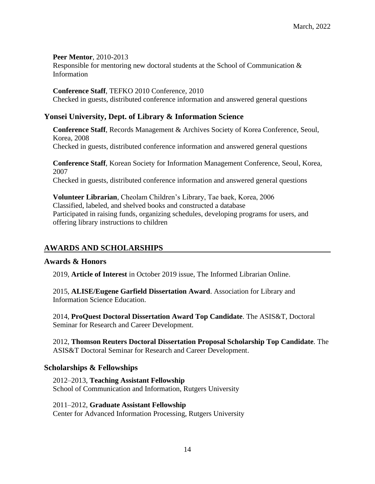#### **Peer Mentor**, 2010-2013

Responsible for mentoring new doctoral students at the School of Communication & Information

#### **Conference Staff**, TEFKO 2010 Conference, 2010

Checked in guests, distributed conference information and answered general questions

# **Yonsei University, Dept. of Library & Information Science**

**Conference Staff**, Records Management & Archives Society of Korea Conference, Seoul, Korea, 2008 Checked in guests, distributed conference information and answered general questions

**Conference Staff**, Korean Society for Information Management Conference, Seoul, Korea, 2007 Checked in guests, distributed conference information and answered general questions

**Volunteer Librarian**, Cheolam Children's Library, Tae baek, Korea, 2006 Classified, labeled, and shelved books and constructed a database Participated in raising funds, organizing schedules, developing programs for users, and offering library instructions to children

# **AWARDS AND SCHOLARSHIPS**

#### **Awards & Honors**

2019, **Article of Interest** in October 2019 issue, The Informed Librarian Online.

2015, **ALISE/Eugene Garfield Dissertation Award**. Association for Library and Information Science Education.

2014, **ProQuest Doctoral Dissertation Award Top Candidate**. The ASIS&T, Doctoral Seminar for Research and Career Development.

2012, **Thomson Reuters Doctoral Dissertation Proposal Scholarship Top Candidate**. The ASIS&T Doctoral Seminar for Research and Career Development.

# **Scholarships & Fellowships**

2012–2013, **Teaching Assistant Fellowship**  School of Communication and Information, Rutgers University

2011–2012, **Graduate Assistant Fellowship**  Center for Advanced Information Processing, Rutgers University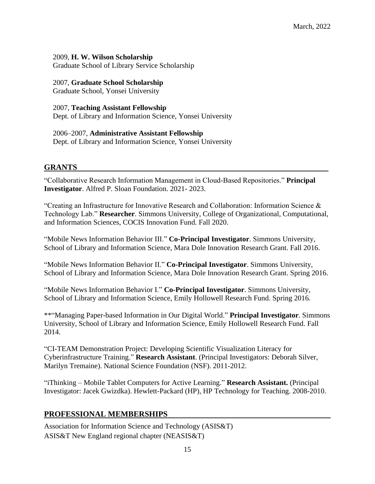2009, **H. W. Wilson Scholarship**

Graduate School of Library Service Scholarship

#### 2007, **Graduate School Scholarship**

Graduate School, Yonsei University

#### 2007, **Teaching Assistant Fellowship**

Dept. of Library and Information Science, Yonsei University

2006–2007, **Administrative Assistant Fellowship** Dept. of Library and Information Science, Yonsei University

# **GRANTS**

"Collaborative Research Information Management in Cloud-Based Repositories." **Principal Investigator**. Alfred P. Sloan Foundation. 2021- 2023.

"Creating an Infrastructure for Innovative Research and Collaboration: Information Science & Technology Lab." **Researcher**. Simmons University, College of Organizational, Computational, and Information Sciences, COCIS Innovation Fund. Fall 2020.

"Mobile News Information Behavior III." **Co-Principal Investigator**. Simmons University, School of Library and Information Science, Mara Dole Innovation Research Grant. Fall 2016.

"Mobile News Information Behavior II." **Co-Principal Investigator**. Simmons University, School of Library and Information Science, Mara Dole Innovation Research Grant. Spring 2016.

"Mobile News Information Behavior I." **Co-Principal Investigator**. Simmons University, School of Library and Information Science, Emily Hollowell Research Fund. Spring 2016.

\*\*"Managing Paper-based Information in Our Digital World." **Principal Investigator**. Simmons University, School of Library and Information Science, Emily Hollowell Research Fund. Fall 2014.

"CI-TEAM Demonstration Project: Developing Scientific Visualization Literacy for Cyberinfrastructure Training." **Research Assistant**. (Principal Investigators: Deborah Silver, Marilyn Tremaine). National Science Foundation (NSF). 2011-2012.

"iThinking – Mobile Tablet Computers for Active Learning." **Research Assistant.** (Principal Investigator: Jacek Gwizdka). Hewlett-Packard (HP), HP Technology for Teaching. 2008-2010.

# **PROFESSIONAL MEMBERSHIPS**

Association for Information Science and Technology (ASIS&T) ASIS&T New England regional chapter (NEASIS&T)